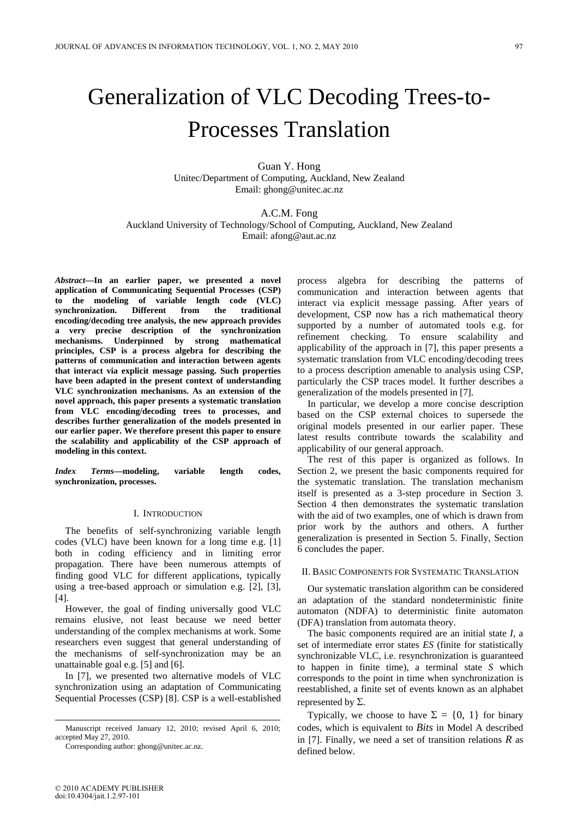# Generalization of VLC Decoding Trees-to-Processes Translation

Guan Y. Hong Unitec/Department of Computing, Auckland, New Zealand Email: ghong@unitec.ac.nz

A.C.M. Fong Auckland University of Technology/School of Computing, Auckland, New Zealand Email: afong@aut.ac.nz

*Abstract***—In an earlier paper, we presented a novel application of Communicating Sequential Processes (CSP) to the modeling of variable length code (VLC) synchronization. Different from the traditional encoding/decoding tree analysis, the new approach provides a very precise description of the synchronization mechanisms. Underpinned by strong mathematical principles, CSP is a process algebra for describing the patterns of communication and interaction between agents that interact via explicit message passing. Such properties have been adapted in the present context of understanding VLC synchronization mechanisms. As an extension of the novel approach, this paper presents a systematic translation from VLC encoding/decoding trees to processes, and describes further generalization of the models presented in our earlier paper. We therefore present this paper to ensure the scalability and applicability of the CSP approach of modeling in this context.** 

*Index Terms***—modeling, variable length codes, synchronization, processes.** 

## I. INTRODUCTION

The benefits of self-synchronizing variable length codes (VLC) have been known for a long time e.g. [1] both in coding efficiency and in limiting error propagation. There have been numerous attempts of finding good VLC for different applications, typically using a tree-based approach or simulation e.g. [2], [3], [4].

However, the goal of finding universally good VLC remains elusive, not least because we need better understanding of the complex mechanisms at work. Some researchers even suggest that general understanding of the mechanisms of self-synchronization may be an unattainable goal e.g. [5] and [6].

In [7], we presented two alternative models of VLC synchronization using an adaptation of Communicating Sequential Processes (CSP) [8]. CSP is a well-established process algebra for describing the patterns of communication and interaction between agents that interact via explicit message passing. After years of development, CSP now has a rich mathematical theory supported by a number of automated tools e.g. for refinement checking. To ensure scalability and applicability of the approach in [7], this paper presents a systematic translation from VLC encoding/decoding trees to a process description amenable to analysis using CSP, particularly the CSP traces model. It further describes a generalization of the models presented in [7].

In particular, we develop a more concise description based on the CSP external choices to supersede the original models presented in our earlier paper. These latest results contribute towards the scalability and applicability of our general approach.

The rest of this paper is organized as follows. In Section 2, we present the basic components required for the systematic translation. The translation mechanism itself is presented as a 3-step procedure in Section 3. Section 4 then demonstrates the systematic translation with the aid of two examples, one of which is drawn from prior work by the authors and others. A further generalization is presented in Section 5. Finally, Section 6 concludes the paper.

## II. BASIC COMPONENTS FOR SYSTEMATIC TRANSLATION

Our systematic translation algorithm can be considered an adaptation of the standard nondeterministic finite automaton (NDFA) to deterministic finite automaton (DFA) translation from automata theory.

The basic components required are an initial state *I*, a set of intermediate error states *ES* (finite for statistically synchronizable VLC, i.e. resynchronization is guaranteed to happen in finite time), a terminal state *S* which corresponds to the point in time when synchronization is reestablished, a finite set of events known as an alphabet represented by  $Σ$ .

Typically, we choose to have  $\Sigma = \{0, 1\}$  for binary codes, which is equivalent to *Bits* in Model A described in [7]. Finally, we need a set of transition relations *R* as defined below.

Manuscript received January 12, 2010; revised April 6, 2010; accepted May 27, 2010.

Corresponding author: ghong@unitec.ac.nz.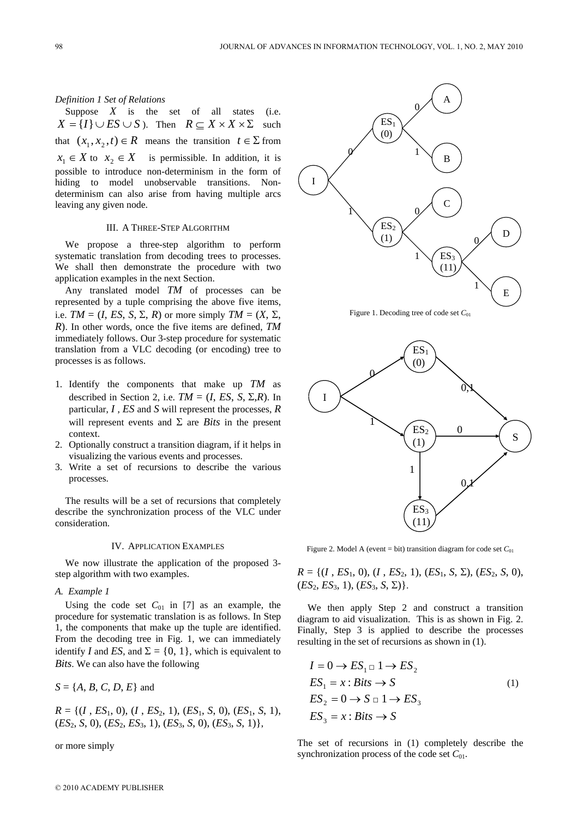## *Definition 1 Set of Relations*

Suppose  $X$  is the set of all states (i.e.  $X = \{I\} \cup ES \cup S$ ). Then  $R \subseteq X \times X \times \Sigma$  such that  $(x_1, x_2, t) \in R$  means the transition  $t \in \Sigma$  from  $x_1 \in X$  to  $x_2 \in X$  is permissible. In addition, it is possible to introduce non-determinism in the form of hiding to model unobservable transitions. Nondeterminism can also arise from having multiple arcs leaving any given node.

## III. A THREE-STEP ALGORITHM

We propose a three-step algorithm to perform systematic translation from decoding trees to processes. We shall then demonstrate the procedure with two application examples in the next Section.

Any translated model *TM* of processes can be represented by a tuple comprising the above five items, i.e.  $TM = (I, ES, S, \Sigma, R)$  or more simply  $TM = (X, \Sigma, R)$ *R*). In other words, once the five items are defined, *TM* immediately follows. Our 3-step procedure for systematic translation from a VLC decoding (or encoding) tree to processes is as follows.

- 1. Identify the components that make up *TM* as described in Section 2, i.e.  $TM = (I, ES, S, \Sigma, R)$ . In particular, *I* , *ES* and *S* will represent the processes, *R* will represent events and  $\Sigma$  are *Bits* in the present context.
- 2. Optionally construct a transition diagram, if it helps in visualizing the various events and processes.
- 3. Write a set of recursions to describe the various processes.

The results will be a set of recursions that completely describe the synchronization process of the VLC under consideration.

# IV. APPLICATION EXAMPLES

We now illustrate the application of the proposed 3 step algorithm with two examples.

# *A. Example 1*

Using the code set  $C_{01}$  in [7] as an example, the procedure for systematic translation is as follows. In Step 1, the components that make up the tuple are identified. From the decoding tree in Fig. 1, we can immediately identify *I* and *ES*, and  $\Sigma = \{0, 1\}$ , which is equivalent to *Bits*. We can also have the following

*S* = {*A*, *B*, *C*, *D*, *E*} and

 $R = \{(I, ES_1, 0), (I, ES_2, 1), (ES_1, S, 0), (ES_1, S, 1),\}$ (*ES*2, *S*, 0), (*ES*2, *ES*3, 1), (*ES*3, *S*, 0), (*ES*3, *S*, 1)},

or more simply



Figure 1. Decoding tree of code set  $C_{01}$ 



Figure 2. Model A (event = bit) transition diagram for code set *C*<sup>01</sup>

 $R = \{(I, ES_1, 0), (I, ES_2, 1), (ES_1, S, \Sigma), (ES_2, S, 0),\}$  $(ES_2, ES_3, 1), (ES_3, S, \Sigma)$ .

We then apply Step 2 and construct a transition diagram to aid visualization. This is as shown in Fig. 2. Finally, Step 3 is applied to describe the processes resulting in the set of recursions as shown in (1).

$$
I = 0 \rightarrow ES_1 \square 1 \rightarrow ES_2
$$
  
\n
$$
ES_1 = x : Bits \rightarrow S
$$
  
\n
$$
ES_2 = 0 \rightarrow S \square 1 \rightarrow ES_3
$$
  
\n
$$
ES_3 = x : Bits \rightarrow S
$$
  
\n(1)

The set of recursions in (1) completely describe the synchronization process of the code set  $C_{01}$ .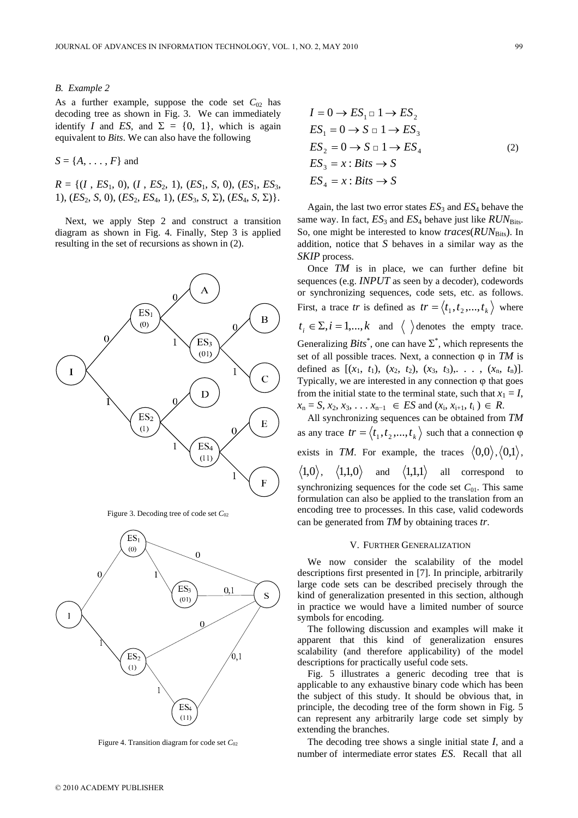## *B. Example 2*

As a further example, suppose the code set  $C_{02}$  has decoding tree as shown in Fig. 3. We can immediately identify *I* and *ES*, and  $\Sigma = \{0, 1\}$ , which is again equivalent to *Bits*. We can also have the following

 $S = \{A, \ldots, F\}$  and

 $R = \{(I, ES_1, 0), (I, ES_2, 1), (ES_1, S, 0), (ES_1, ES_3,$ 1), (*ES*2, *S*, 0), (*ES*2, *ES*4, 1), (*ES*3, *S*, Σ), (*ES*4, *S*, Σ)}.

Next, we apply Step 2 and construct a transition diagram as shown in Fig. 4. Finally, Step 3 is applied resulting in the set of recursions as shown in (2).



Figure 3. Decoding tree of code set  $C_{02}$ 



Figure 4. Transition diagram for code set  $C_{02}$ 

$$
I = 0 \rightarrow ES_1 \square 1 \rightarrow ES_2
$$
  
\n
$$
ES_1 = 0 \rightarrow S \square 1 \rightarrow ES_3
$$
  
\n
$$
ES_2 = 0 \rightarrow S \square 1 \rightarrow ES_4
$$
  
\n
$$
ES_3 = x : Bits \rightarrow S
$$
  
\n
$$
ES_4 = x : Bits \rightarrow S
$$
  
\n(2)

Again, the last two error states  $ES_3$  and  $ES_4$  behave the same way. In fact,  $ES_3$  and  $ES_4$  behave just like  $RUN_{\text{Bits}}$ . So, one might be interested to know *traces*( $RUN<sub>Bits</sub>$ ). In addition, notice that *S* behaves in a similar way as the *SKIP* process.

Once *TM* is in place, we can further define bit sequences (e.g. *INPUT* as seen by a decoder), codewords or synchronizing sequences, code sets, etc. as follows. First, a trace *tr* is defined as  $tr = \langle t_1, t_2, ..., t_k \rangle$  where  $t_i \in \Sigma, i = 1,...,k$  and  $\langle \rangle$  denotes the empty trace. Generalizing  $\text{Bits}^*$ , one can have  $\sum^*$ , which represents the set of all possible traces. Next, a connection φ in *TM* is defined as  $[(x_1, t_1), (x_2, t_2), (x_3, t_3), \ldots, (x_n, t_n)].$ Typically, we are interested in any connection  $\varphi$  that goes from the initial state to the terminal state, such that  $x_1 = I$ ,  $x_n = S$ ,  $x_2, x_3, \ldots, x_{n-1} \in ES$  and  $(x_i, x_{i+1}, t_i) \in R$ .

All synchronizing sequences can be obtained from *TM* as any trace  $tr = \langle t_1, t_2, ..., t_k \rangle$  such that a connection  $\varphi$ exists in *TM*. For example, the traces  $(0,0), (0,1)$ ,  $\langle 1,0 \rangle$ ,  $\langle 1,1,0 \rangle$  and  $\langle 1,1,1 \rangle$  all correspond to synchronizing sequences for the code set  $C_{01}$ . This same formulation can also be applied to the translation from an encoding tree to processes. In this case, valid codewords can be generated from *TM* by obtaining traces *tr*.

## V. FURTHER GENERALIZATION

We now consider the scalability of the model descriptions first presented in [7]. In principle, arbitrarily large code sets can be described precisely through the kind of generalization presented in this section, although in practice we would have a limited number of source symbols for encoding.

The following discussion and examples will make it apparent that this kind of generalization ensures scalability (and therefore applicability) of the model descriptions for practically useful code sets.

Fig. 5 illustrates a generic decoding tree that is applicable to any exhaustive binary code which has been the subject of this study. It should be obvious that, in principle, the decoding tree of the form shown in Fig. 5 can represent any arbitrarily large code set simply by extending the branches.

The decoding tree shows a single initial state *I*, and a number of intermediate error states *ES*. Recall that all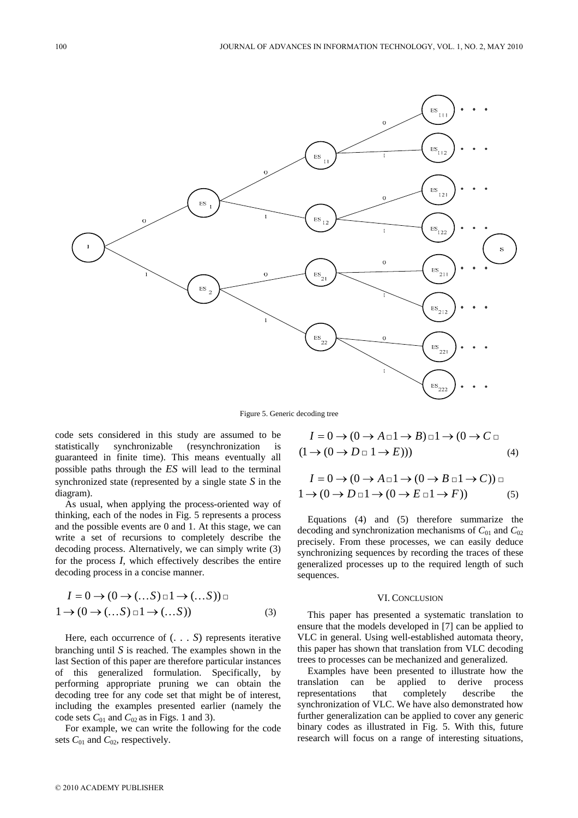

Figure 5. Generic decoding tree

code sets considered in this study are assumed to be statistically synchronizable (resynchronization is guaranteed in finite time). This means eventually all possible paths through the *ES* will lead to the terminal synchronized state (represented by a single state *S* in the diagram).

As usual, when applying the process-oriented way of thinking, each of the nodes in Fig. 5 represents a process and the possible events are 0 and 1. At this stage, we can write a set of recursions to completely describe the decoding process. Alternatively, we can simply write (3) for the process *I*, which effectively describes the entire decoding process in a concise manner.

$$
I = 0 \rightarrow (0 \rightarrow (\dots S) \square 1 \rightarrow (\dots S)) \square
$$
  

$$
1 \rightarrow (0 \rightarrow (\dots S) \square 1 \rightarrow (\dots S))
$$
 (3)

Here, each occurrence of (. . . *S*) represents iterative branching until *S* is reached. The examples shown in the last Section of this paper are therefore particular instances of this generalized formulation. Specifically, by performing appropriate pruning we can obtain the decoding tree for any code set that might be of interest, including the examples presented earlier (namely the code sets  $C_{01}$  and  $C_{02}$  as in Figs. 1 and 3).

For example, we can write the following for the code sets  $C_{01}$  and  $C_{02}$ , respectively.

$$
I = 0 \to (0 \to A \square 1 \to B) \square 1 \to (0 \to C \square
$$
  
(1 \to (0 \to D \square 1 \to E))) (4)

$$
I = 0 \to (0 \to A \square 1 \to (0 \to B \square 1 \to C)) \square
$$
  

$$
1 \to (0 \to D \square 1 \to (0 \to E \square 1 \to F))
$$
 (5)

Equations (4) and (5) therefore summarize the decoding and synchronization mechanisms of  $C_{01}$  and  $C_{02}$ precisely. From these processes, we can easily deduce synchronizing sequences by recording the traces of these generalized processes up to the required length of such sequences.

## VI. CONCLUSION

This paper has presented a systematic translation to ensure that the models developed in [7] can be applied to VLC in general. Using well-established automata theory, this paper has shown that translation from VLC decoding trees to processes can be mechanized and generalized.

Examples have been presented to illustrate how the inslation can be applied to derive process translation can be applied to derive representations that completely describe the synchronization of VLC. We have also demonstrated how further generalization can be applied to cover any generic binary codes as illustrated in Fig. 5. With this, future research will focus on a range of interesting situations,